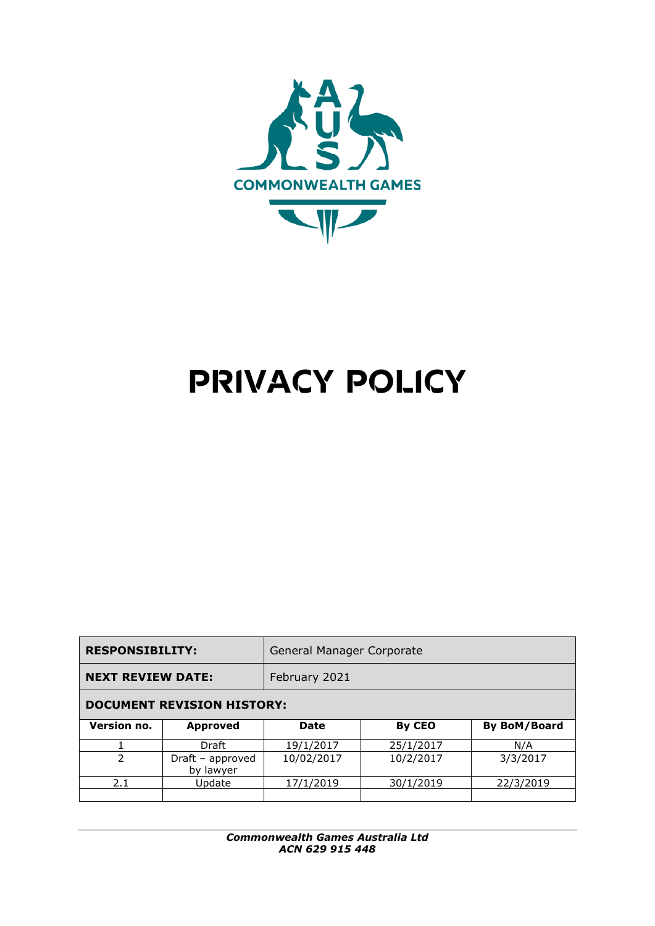

# **PRIVACY POLICY**

| <b>RESPONSIBILITY:</b>            |                               | General Manager Corporate |           |                     |
|-----------------------------------|-------------------------------|---------------------------|-----------|---------------------|
| <b>NEXT REVIEW DATE:</b>          |                               | February 2021             |           |                     |
| <b>DOCUMENT REVISION HISTORY:</b> |                               |                           |           |                     |
| Version no.                       | <b>Approved</b>               | <b>Date</b>               | By CEO    | <b>By BoM/Board</b> |
|                                   | Draft                         | 19/1/2017                 | 25/1/2017 | N/A                 |
| $\mathcal{P}$                     | Draft – approved<br>by lawyer | 10/02/2017                | 10/2/2017 | 3/3/2017            |
| 2.1                               | Update                        | 17/1/2019                 | 30/1/2019 | 22/3/2019           |
|                                   |                               |                           |           |                     |

*Commonwealth Games Australia Ltd ACN 629 915 448*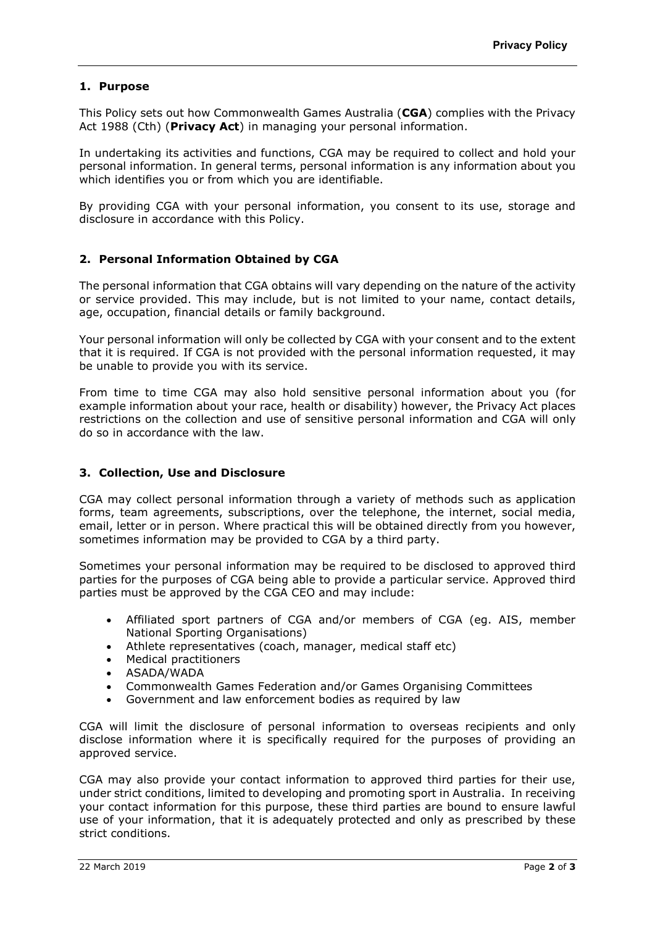# **1. Purpose**

This Policy sets out how Commonwealth Games Australia (**CGA**) complies with the Privacy Act 1988 (Cth) (**Privacy Act**) in managing your personal information.

In undertaking its activities and functions, CGA may be required to collect and hold your personal information. In general terms, personal information is any information about you which identifies you or from which you are identifiable.

By providing CGA with your personal information, you consent to its use, storage and disclosure in accordance with this Policy.

## **2. Personal Information Obtained by CGA**

The personal information that CGA obtains will vary depending on the nature of the activity or service provided. This may include, but is not limited to your name, contact details, age, occupation, financial details or family background.

Your personal information will only be collected by CGA with your consent and to the extent that it is required. If CGA is not provided with the personal information requested, it may be unable to provide you with its service.

From time to time CGA may also hold sensitive personal information about you (for example information about your race, health or disability) however, the Privacy Act places restrictions on the collection and use of sensitive personal information and CGA will only do so in accordance with the law.

#### **3. Collection, Use and Disclosure**

CGA may collect personal information through a variety of methods such as application forms, team agreements, subscriptions, over the telephone, the internet, social media, email, letter or in person. Where practical this will be obtained directly from you however, sometimes information may be provided to CGA by a third party.

Sometimes your personal information may be required to be disclosed to approved third parties for the purposes of CGA being able to provide a particular service. Approved third parties must be approved by the CGA CEO and may include:

- Affiliated sport partners of CGA and/or members of CGA (eg. AIS, member National Sporting Organisations)
- Athlete representatives (coach, manager, medical staff etc)
- Medical practitioners
- ASADA/WADA
- Commonwealth Games Federation and/or Games Organising Committees
- Government and law enforcement bodies as required by law

CGA will limit the disclosure of personal information to overseas recipients and only disclose information where it is specifically required for the purposes of providing an approved service.

CGA may also provide your contact information to approved third parties for their use, under strict conditions, limited to developing and promoting sport in Australia. In receiving your contact information for this purpose, these third parties are bound to ensure lawful use of your information, that it is adequately protected and only as prescribed by these strict conditions.